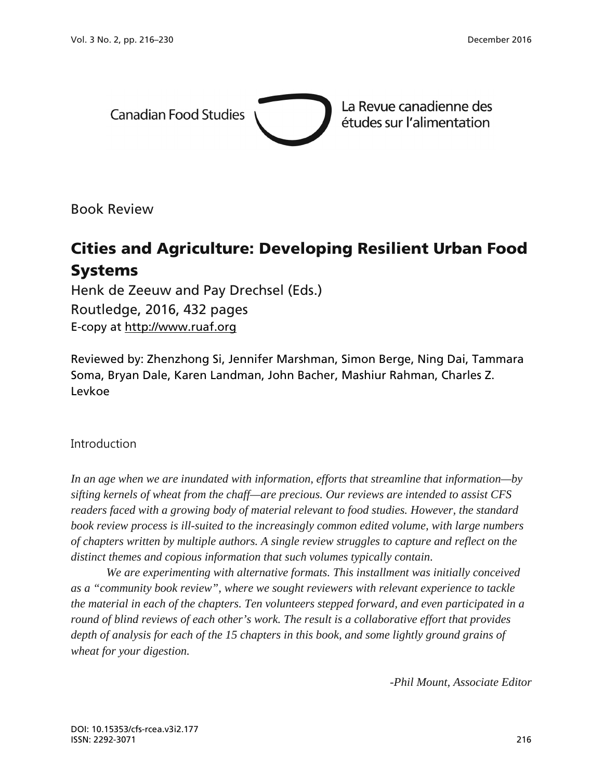

Book Review

# Cities and Agriculture: Developing Resilient Urban Food Systems

Henk de Zeeuw and Pay Drechsel (Eds.) Routledge, 2016, 432 pages E-copy at [http://www.ruaf.org](http://www.ruaf.org/)

Reviewed by: Zhenzhong Si, Jennifer Marshman, Simon Berge, Ning Dai, Tammara Soma, Bryan Dale, Karen Landman, John Bacher, Mashiur Rahman, Charles Z. Levkoe

### Introduction

*In an age when we are inundated with information, efforts that streamline that information—by sifting kernels of wheat from the chaff—are precious. Our reviews are intended to assist CFS readers faced with a growing body of material relevant to food studies. However, the standard book review process is ill-suited to the increasingly common edited volume, with large numbers of chapters written by multiple authors. A single review struggles to capture and reflect on the distinct themes and copious information that such volumes typically contain.* 

 *We are experimenting with alternative formats. This installment was initially conceived as a "community book review", where we sought reviewers with relevant experience to tackle the material in each of the chapters. Ten volunteers stepped forward, and even participated in a round of blind reviews of each other's work. The result is a collaborative effort that provides depth of analysis for each of the 15 chapters in this book, and some lightly ground grains of wheat for your digestion.* 

*-Phil Mount, Associate Editor*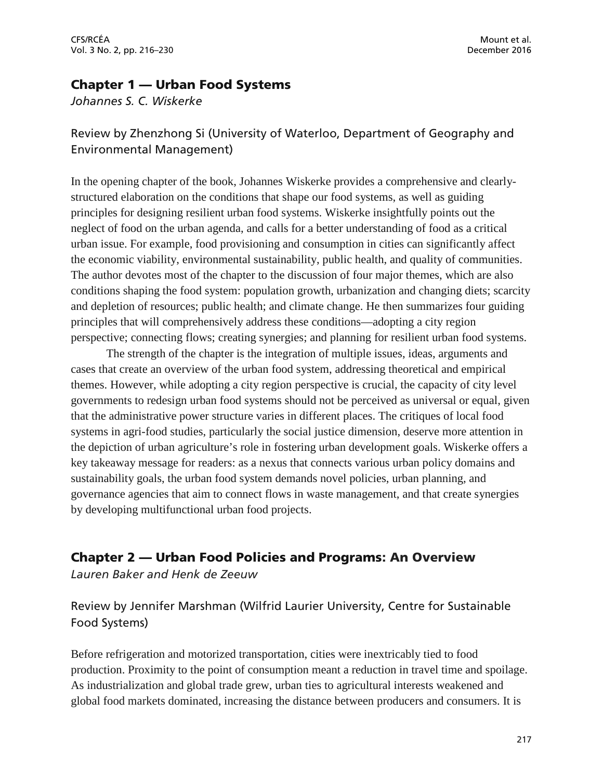### Chapter 1 — Urban Food Systems

*Johannes S. C. Wiskerke*

## Review by Zhenzhong Si (University of Waterloo, Department of Geography and Environmental Management)

In the opening chapter of the book, Johannes Wiskerke provides a comprehensive and clearlystructured elaboration on the conditions that shape our food systems, as well as guiding principles for designing resilient urban food systems. Wiskerke insightfully points out the neglect of food on the urban agenda, and calls for a better understanding of food as a critical urban issue. For example, food provisioning and consumption in cities can significantly affect the economic viability, environmental sustainability, public health, and quality of communities. The author devotes most of the chapter to the discussion of four major themes, which are also conditions shaping the food system: population growth, urbanization and changing diets; scarcity and depletion of resources; public health; and climate change. He then summarizes four guiding principles that will comprehensively address these conditions—adopting a city region perspective; connecting flows; creating synergies; and planning for resilient urban food systems.

The strength of the chapter is the integration of multiple issues, ideas, arguments and cases that create an overview of the urban food system, addressing theoretical and empirical themes. However, while adopting a city region perspective is crucial, the capacity of city level governments to redesign urban food systems should not be perceived as universal or equal, given that the administrative power structure varies in different places. The critiques of local food systems in agri-food studies, particularly the social justice dimension, deserve more attention in the depiction of urban agriculture's role in fostering urban development goals. Wiskerke offers a key takeaway message for readers: as a nexus that connects various urban policy domains and sustainability goals, the urban food system demands novel policies, urban planning, and governance agencies that aim to connect flows in waste management, and that create synergies by developing multifunctional urban food projects.

## Chapter 2 — Urban Food Policies and Programs: An Overview

*Lauren Baker and Henk de Zeeuw*

Review by Jennifer Marshman (Wilfrid Laurier University, Centre for Sustainable Food Systems)

Before refrigeration and motorized transportation, cities were inextricably tied to food production. Proximity to the point of consumption meant a reduction in travel time and spoilage. As industrialization and global trade grew, urban ties to agricultural interests weakened and global food markets dominated, increasing the distance between producers and consumers. It is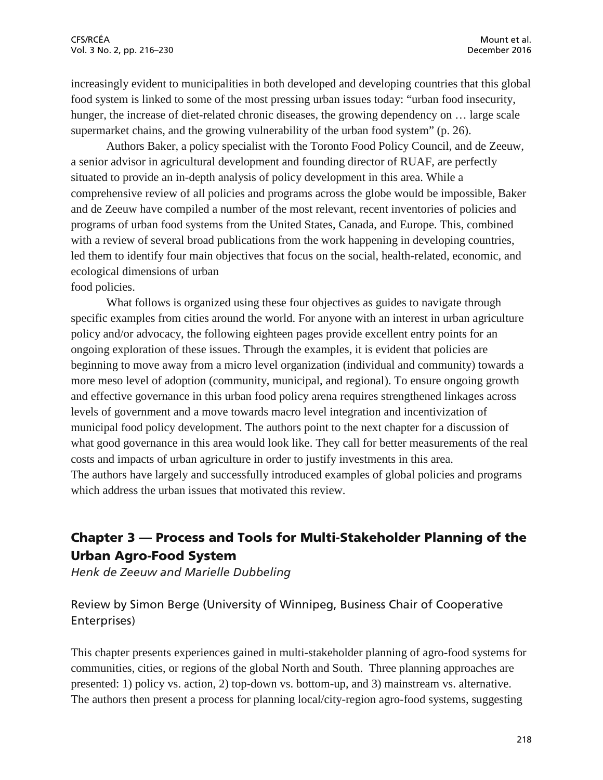increasingly evident to municipalities in both developed and developing countries that this global food system is linked to some of the most pressing urban issues today: "urban food insecurity, hunger, the increase of diet-related chronic diseases, the growing dependency on ... large scale supermarket chains, and the growing vulnerability of the urban food system" (p. 26).

Authors Baker, a policy specialist with the Toronto Food Policy Council, and de Zeeuw, a senior advisor in agricultural development and founding director of RUAF, are perfectly situated to provide an in-depth analysis of policy development in this area. While a comprehensive review of all policies and programs across the globe would be impossible, Baker and de Zeeuw have compiled a number of the most relevant, recent inventories of policies and programs of urban food systems from the United States, Canada, and Europe. This, combined with a review of several broad publications from the work happening in developing countries, led them to identify four main objectives that focus on the social, health-related, economic, and ecological dimensions of urban food policies.

What follows is organized using these four objectives as guides to navigate through specific examples from cities around the world. For anyone with an interest in urban agriculture policy and/or advocacy, the following eighteen pages provide excellent entry points for an ongoing exploration of these issues. Through the examples, it is evident that policies are beginning to move away from a micro level organization (individual and community) towards a more meso level of adoption (community, municipal, and regional). To ensure ongoing growth and effective governance in this urban food policy arena requires strengthened linkages across levels of government and a move towards macro level integration and incentivization of municipal food policy development. The authors point to the next chapter for a discussion of what good governance in this area would look like. They call for better measurements of the real costs and impacts of urban agriculture in order to justify investments in this area. The authors have largely and successfully introduced examples of global policies and programs which address the urban issues that motivated this review.

## Chapter 3 — Process and Tools for Multi-Stakeholder Planning of the Urban Agro-Food System

*Henk de Zeeuw and Marielle Dubbeling*

Review by Simon Berge (University of Winnipeg, Business Chair of Cooperative Enterprises)

This chapter presents experiences gained in multi-stakeholder planning of agro-food systems for communities, cities, or regions of the global North and South. Three planning approaches are presented: 1) policy vs. action, 2) top-down vs. bottom-up, and 3) mainstream vs. alternative. The authors then present a process for planning local/city-region agro-food systems, suggesting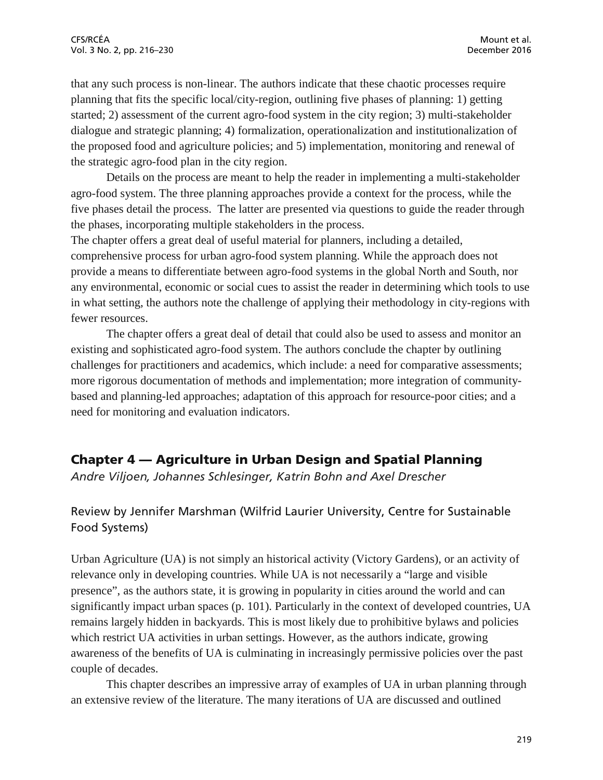that any such process is non-linear. The authors indicate that these chaotic processes require planning that fits the specific local/city-region, outlining five phases of planning: 1) getting started; 2) assessment of the current agro-food system in the city region; 3) multi-stakeholder dialogue and strategic planning; 4) formalization, operationalization and institutionalization of the proposed food and agriculture policies; and 5) implementation, monitoring and renewal of the strategic agro-food plan in the city region.

Details on the process are meant to help the reader in implementing a multi-stakeholder agro-food system. The three planning approaches provide a context for the process, while the five phases detail the process. The latter are presented via questions to guide the reader through the phases, incorporating multiple stakeholders in the process.

The chapter offers a great deal of useful material for planners, including a detailed, comprehensive process for urban agro-food system planning. While the approach does not provide a means to differentiate between agro-food systems in the global North and South, nor any environmental, economic or social cues to assist the reader in determining which tools to use in what setting, the authors note the challenge of applying their methodology in city-regions with fewer resources.

The chapter offers a great deal of detail that could also be used to assess and monitor an existing and sophisticated agro-food system. The authors conclude the chapter by outlining challenges for practitioners and academics, which include: a need for comparative assessments; more rigorous documentation of methods and implementation; more integration of communitybased and planning-led approaches; adaptation of this approach for resource-poor cities; and a need for monitoring and evaluation indicators.

## Chapter 4 — Agriculture in Urban Design and Spatial Planning

*Andre Viljoen, Johannes Schlesinger, Katrin Bohn and Axel Drescher*

## Review by Jennifer Marshman (Wilfrid Laurier University, Centre for Sustainable Food Systems)

Urban Agriculture (UA) is not simply an historical activity (Victory Gardens), or an activity of relevance only in developing countries. While UA is not necessarily a "large and visible presence", as the authors state, it is growing in popularity in cities around the world and can significantly impact urban spaces (p. 101). Particularly in the context of developed countries, UA remains largely hidden in backyards. This is most likely due to prohibitive bylaws and policies which restrict UA activities in urban settings. However, as the authors indicate, growing awareness of the benefits of UA is culminating in increasingly permissive policies over the past couple of decades.

This chapter describes an impressive array of examples of UA in urban planning through an extensive review of the literature. The many iterations of UA are discussed and outlined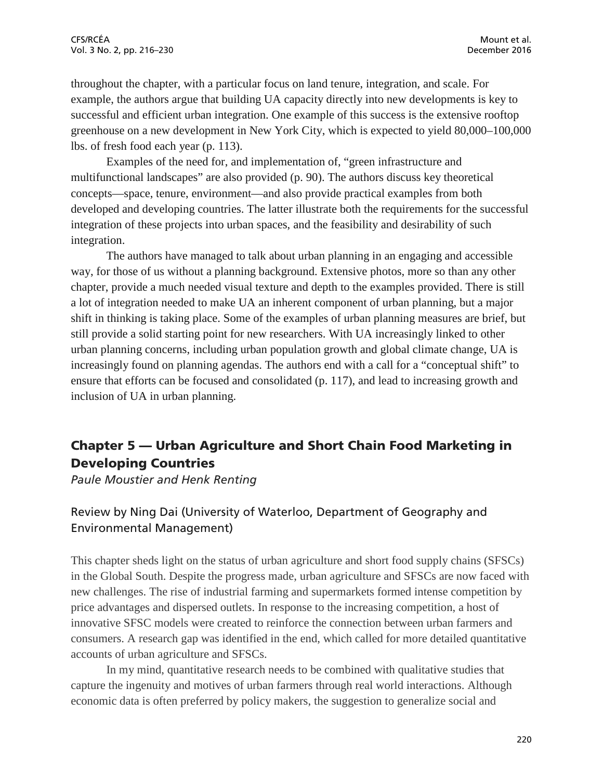throughout the chapter, with a particular focus on land tenure, integration, and scale. For example, the authors argue that building UA capacity directly into new developments is key to successful and efficient urban integration. One example of this success is the extensive rooftop greenhouse on a new development in New York City, which is expected to yield 80,000–100,000 lbs. of fresh food each year (p. 113).

Examples of the need for, and implementation of, "green infrastructure and multifunctional landscapes" are also provided (p. 90). The authors discuss key theoretical concepts—space, tenure, environment—and also provide practical examples from both developed and developing countries. The latter illustrate both the requirements for the successful integration of these projects into urban spaces, and the feasibility and desirability of such integration.

The authors have managed to talk about urban planning in an engaging and accessible way, for those of us without a planning background. Extensive photos, more so than any other chapter, provide a much needed visual texture and depth to the examples provided. There is still a lot of integration needed to make UA an inherent component of urban planning, but a major shift in thinking is taking place. Some of the examples of urban planning measures are brief, but still provide a solid starting point for new researchers. With UA increasingly linked to other urban planning concerns, including urban population growth and global climate change, UA is increasingly found on planning agendas. The authors end with a call for a "conceptual shift" to ensure that efforts can be focused and consolidated (p. 117), and lead to increasing growth and inclusion of UA in urban planning.

## Chapter 5 — Urban Agriculture and Short Chain Food Marketing in Developing Countries

*Paule Moustier and Henk Renting*

## Review by Ning Dai (University of Waterloo, Department of Geography and Environmental Management)

This chapter sheds light on the status of urban agriculture and short food supply chains (SFSCs) in the Global South. Despite the progress made, urban agriculture and SFSCs are now faced with new challenges. The rise of industrial farming and supermarkets formed intense competition by price advantages and dispersed outlets. In response to the increasing competition, a host of innovative SFSC models were created to reinforce the connection between urban farmers and consumers. A research gap was identified in the end, which called for more detailed quantitative accounts of urban agriculture and SFSCs.

In my mind, quantitative research needs to be combined with qualitative studies that capture the ingenuity and motives of urban farmers through real world interactions. Although economic data is often preferred by policy makers, the suggestion to generalize social and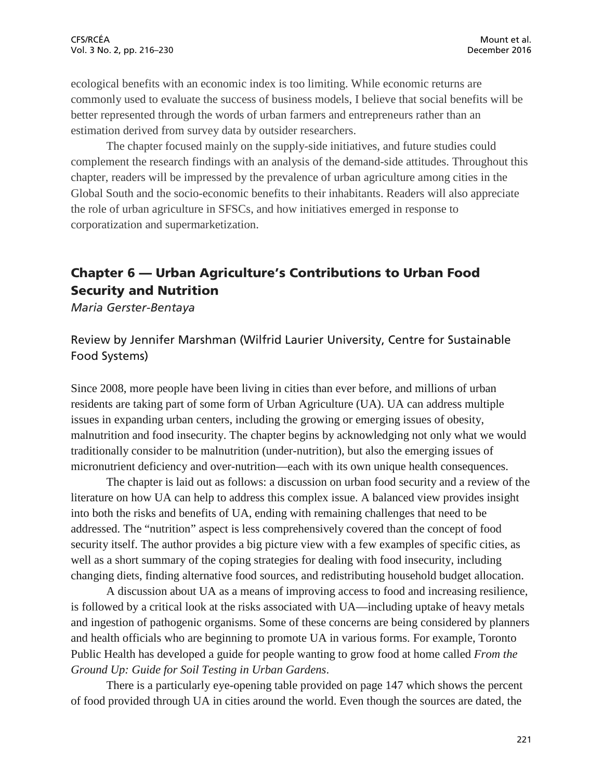ecological benefits with an economic index is too limiting. While economic returns are commonly used to evaluate the success of business models, I believe that social benefits will be better represented through the words of urban farmers and entrepreneurs rather than an estimation derived from survey data by outsider researchers.

The chapter focused mainly on the supply-side initiatives, and future studies could complement the research findings with an analysis of the demand-side attitudes. Throughout this chapter, readers will be impressed by the prevalence of urban agriculture among cities in the Global South and the socio-economic benefits to their inhabitants. Readers will also appreciate the role of urban agriculture in SFSCs, and how initiatives emerged in response to corporatization and supermarketization.

## Chapter 6 — Urban Agriculture's Contributions to Urban Food Security and Nutrition

*Maria Gerster-Bentaya*

### Review by Jennifer Marshman (Wilfrid Laurier University, Centre for Sustainable Food Systems)

Since 2008, more people have been living in cities than ever before, and millions of urban residents are taking part of some form of Urban Agriculture (UA). UA can address multiple issues in expanding urban centers, including the growing or emerging issues of obesity, malnutrition and food insecurity. The chapter begins by acknowledging not only what we would traditionally consider to be malnutrition (under-nutrition), but also the emerging issues of micronutrient deficiency and over-nutrition—each with its own unique health consequences.

The chapter is laid out as follows: a discussion on urban food security and a review of the literature on how UA can help to address this complex issue. A balanced view provides insight into both the risks and benefits of UA, ending with remaining challenges that need to be addressed. The "nutrition" aspect is less comprehensively covered than the concept of food security itself. The author provides a big picture view with a few examples of specific cities, as well as a short summary of the coping strategies for dealing with food insecurity, including changing diets, finding alternative food sources, and redistributing household budget allocation.

A discussion about UA as a means of improving access to food and increasing resilience, is followed by a critical look at the risks associated with UA—including uptake of heavy metals and ingestion of pathogenic organisms. Some of these concerns are being considered by planners and health officials who are beginning to promote UA in various forms. For example, Toronto Public Health has developed a guide for people wanting to grow food at home called *From the Ground Up: Guide for Soil Testing in Urban Gardens*.

There is a particularly eye-opening table provided on page 147 which shows the percent of food provided through UA in cities around the world. Even though the sources are dated, the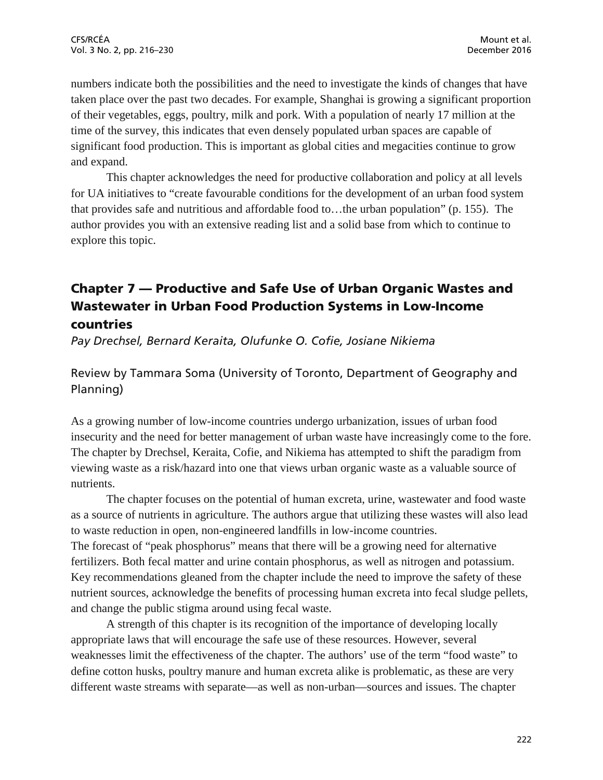numbers indicate both the possibilities and the need to investigate the kinds of changes that have taken place over the past two decades. For example, Shanghai is growing a significant proportion of their vegetables, eggs, poultry, milk and pork. With a population of nearly 17 million at the time of the survey, this indicates that even densely populated urban spaces are capable of significant food production. This is important as global cities and megacities continue to grow and expand.

This chapter acknowledges the need for productive collaboration and policy at all levels for UA initiatives to "create favourable conditions for the development of an urban food system that provides safe and nutritious and affordable food to…the urban population" (p. 155). The author provides you with an extensive reading list and a solid base from which to continue to explore this topic.

## Chapter 7 — Productive and Safe Use of Urban Organic Wastes and Wastewater in Urban Food Production Systems in Low-Income countries

*Pay Drechsel, Bernard Keraita, Olufunke O. Cofie, Josiane Nikiema*

Review by Tammara Soma (University of Toronto, Department of Geography and Planning)

As a growing number of low-income countries undergo urbanization, issues of urban food insecurity and the need for better management of urban waste have increasingly come to the fore. The chapter by Drechsel, Keraita, Cofie, and Nikiema has attempted to shift the paradigm from viewing waste as a risk/hazard into one that views urban organic waste as a valuable source of nutrients.

The chapter focuses on the potential of human excreta, urine, wastewater and food waste as a source of nutrients in agriculture. The authors argue that utilizing these wastes will also lead to waste reduction in open, non-engineered landfills in low-income countries. The forecast of "peak phosphorus" means that there will be a growing need for alternative fertilizers. Both fecal matter and urine contain phosphorus, as well as nitrogen and potassium. Key recommendations gleaned from the chapter include the need to improve the safety of these nutrient sources, acknowledge the benefits of processing human excreta into fecal sludge pellets, and change the public stigma around using fecal waste.

A strength of this chapter is its recognition of the importance of developing locally appropriate laws that will encourage the safe use of these resources. However, several weaknesses limit the effectiveness of the chapter. The authors' use of the term "food waste" to define cotton husks, poultry manure and human excreta alike is problematic, as these are very different waste streams with separate—as well as non-urban—sources and issues. The chapter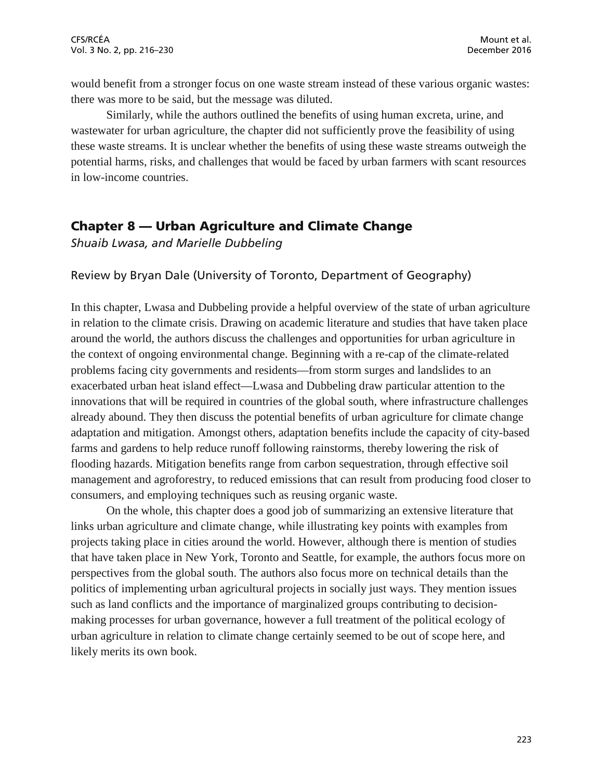would benefit from a stronger focus on one waste stream instead of these various organic wastes: there was more to be said, but the message was diluted.

Similarly, while the authors outlined the benefits of using human excreta, urine, and wastewater for urban agriculture, the chapter did not sufficiently prove the feasibility of using these waste streams. It is unclear whether the benefits of using these waste streams outweigh the potential harms, risks, and challenges that would be faced by urban farmers with scant resources in low-income countries.

### Chapter 8 — Urban Agriculture and Climate Change

*Shuaib Lwasa, and Marielle Dubbeling*

#### Review by Bryan Dale (University of Toronto, Department of Geography)

In this chapter, Lwasa and Dubbeling provide a helpful overview of the state of urban agriculture in relation to the climate crisis. Drawing on academic literature and studies that have taken place around the world, the authors discuss the challenges and opportunities for urban agriculture in the context of ongoing environmental change. Beginning with a re-cap of the climate-related problems facing city governments and residents—from storm surges and landslides to an exacerbated urban heat island effect—Lwasa and Dubbeling draw particular attention to the innovations that will be required in countries of the global south, where infrastructure challenges already abound. They then discuss the potential benefits of urban agriculture for climate change adaptation and mitigation. Amongst others, adaptation benefits include the capacity of city-based farms and gardens to help reduce runoff following rainstorms, thereby lowering the risk of flooding hazards. Mitigation benefits range from carbon sequestration, through effective soil management and agroforestry, to reduced emissions that can result from producing food closer to consumers, and employing techniques such as reusing organic waste.

On the whole, this chapter does a good job of summarizing an extensive literature that links urban agriculture and climate change, while illustrating key points with examples from projects taking place in cities around the world. However, although there is mention of studies that have taken place in New York, Toronto and Seattle, for example, the authors focus more on perspectives from the global south. The authors also focus more on technical details than the politics of implementing urban agricultural projects in socially just ways. They mention issues such as land conflicts and the importance of marginalized groups contributing to decisionmaking processes for urban governance, however a full treatment of the political ecology of urban agriculture in relation to climate change certainly seemed to be out of scope here, and likely merits its own book.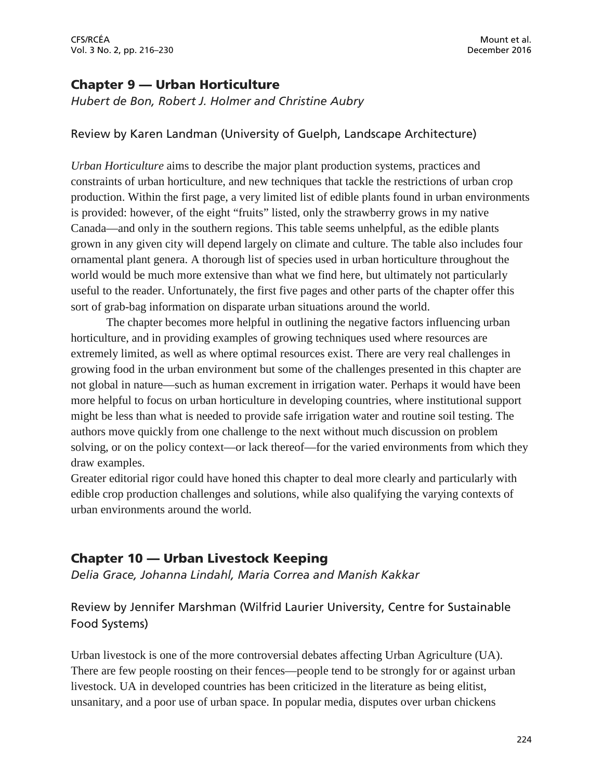CFS/RCÉA Mount et al. Vol. 3 No. 2, pp. 216–230 December 2016

### Chapter 9 — Urban Horticulture

*Hubert de Bon, Robert J. Holmer and Christine Aubry*

#### Review by Karen Landman (University of Guelph, Landscape Architecture)

*Urban Horticulture* aims to describe the major plant production systems, practices and constraints of urban horticulture, and new techniques that tackle the restrictions of urban crop production. Within the first page, a very limited list of edible plants found in urban environments is provided: however, of the eight "fruits" listed, only the strawberry grows in my native Canada—and only in the southern regions. This table seems unhelpful, as the edible plants grown in any given city will depend largely on climate and culture. The table also includes four ornamental plant genera. A thorough list of species used in urban horticulture throughout the world would be much more extensive than what we find here, but ultimately not particularly useful to the reader. Unfortunately, the first five pages and other parts of the chapter offer this sort of grab-bag information on disparate urban situations around the world.

The chapter becomes more helpful in outlining the negative factors influencing urban horticulture, and in providing examples of growing techniques used where resources are extremely limited, as well as where optimal resources exist. There are very real challenges in growing food in the urban environment but some of the challenges presented in this chapter are not global in nature—such as human excrement in irrigation water. Perhaps it would have been more helpful to focus on urban horticulture in developing countries, where institutional support might be less than what is needed to provide safe irrigation water and routine soil testing. The authors move quickly from one challenge to the next without much discussion on problem solving, or on the policy context—or lack thereof—for the varied environments from which they draw examples.

Greater editorial rigor could have honed this chapter to deal more clearly and particularly with edible crop production challenges and solutions, while also qualifying the varying contexts of urban environments around the world.

## Chapter 10 — Urban Livestock Keeping

*Delia Grace, Johanna Lindahl, Maria Correa and Manish Kakkar*

## Review by Jennifer Marshman (Wilfrid Laurier University, Centre for Sustainable Food Systems)

Urban livestock is one of the more controversial debates affecting Urban Agriculture (UA). There are few people roosting on their fences—people tend to be strongly for or against urban livestock. UA in developed countries has been criticized in the literature as being elitist, unsanitary, and a poor use of urban space. In popular media, disputes over urban chickens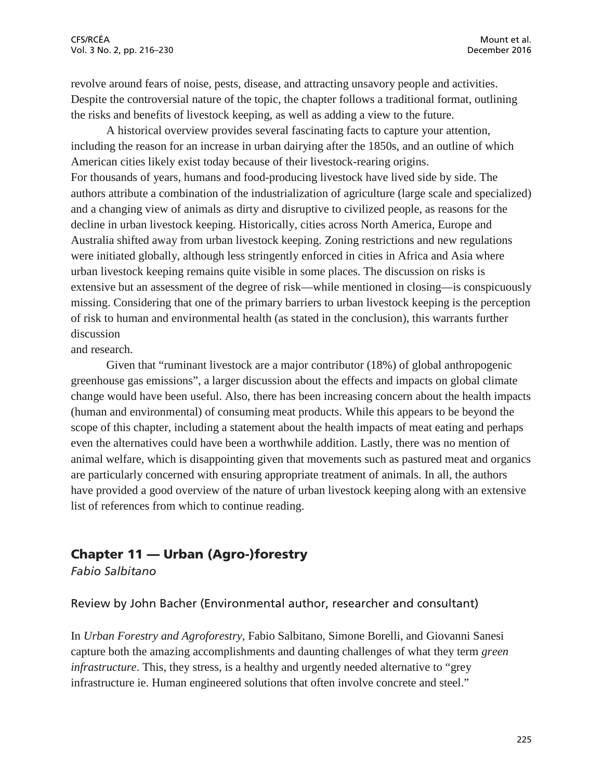revolve around fears of noise, pests, disease, and attracting unsavory people and activities. Despite the controversial nature of the topic, the chapter follows a traditional format, outlining the risks and benefits of livestock keeping, as well as adding a view to the future.

A historical overview provides several fascinating facts to capture your attention, including the reason for an increase in urban dairying after the 1850s, and an outline of which American cities likely exist today because of their livestock-rearing origins. For thousands of years, humans and food-producing livestock have lived side by side. The authors attribute a combination of the industrialization of agriculture (large scale and specialized) and a changing view of animals as dirty and disruptive to civilized people, as reasons for the decline in urban livestock keeping. Historically, cities across North America, Europe and Australia shifted away from urban livestock keeping. Zoning restrictions and new regulations were initiated globally, although less stringently enforced in cities in Africa and Asia where urban livestock keeping remains quite visible in some places. The discussion on risks is extensive but an assessment of the degree of risk—while mentioned in closing—is conspicuously missing. Considering that one of the primary barriers to urban livestock keeping is the perception of risk to human and environmental health (as stated in the conclusion), this warrants further discussion

and research.

Given that "ruminant livestock are a major contributor (18%) of global anthropogenic greenhouse gas emissions", a larger discussion about the effects and impacts on global climate change would have been useful. Also, there has been increasing concern about the health impacts (human and environmental) of consuming meat products. While this appears to be beyond the scope of this chapter, including a statement about the health impacts of meat eating and perhaps even the alternatives could have been a worthwhile addition. Lastly, there was no mention of animal welfare, which is disappointing given that movements such as pastured meat and organics are particularly concerned with ensuring appropriate treatment of animals. In all, the authors have provided a good overview of the nature of urban livestock keeping along with an extensive list of references from which to continue reading.

## Chapter 11 — Urban (Agro-)forestry

*Fabio Salbitano*

Review by John Bacher (Environmental author, researcher and consultant)

In *Urban Forestry and Agroforestry*, Fabio Salbitano, Simone Borelli, and Giovanni Sanesi capture both the amazing accomplishments and daunting challenges of what they term *green infrastructure*. This, they stress, is a healthy and urgently needed alternative to "grey infrastructure ie. Human engineered solutions that often involve concrete and steel."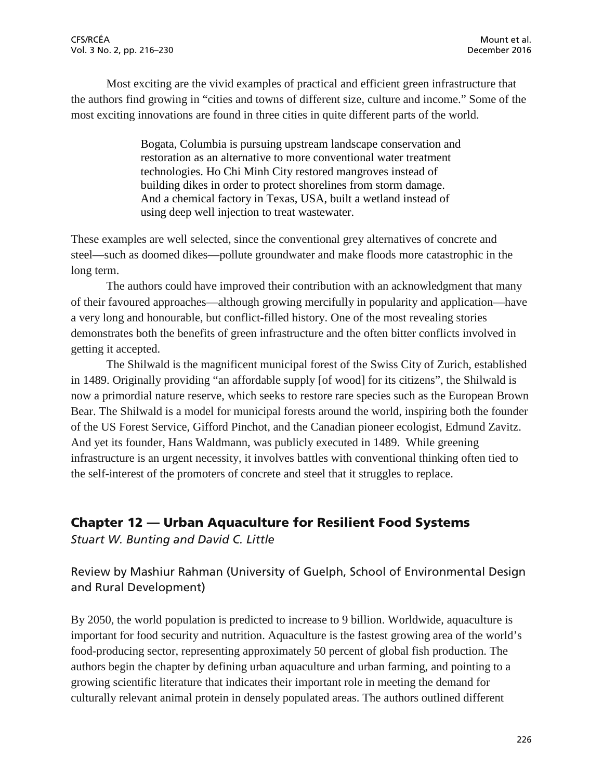Most exciting are the vivid examples of practical and efficient green infrastructure that the authors find growing in "cities and towns of different size, culture and income." Some of the most exciting innovations are found in three cities in quite different parts of the world.

> Bogata, Columbia is pursuing upstream landscape conservation and restoration as an alternative to more conventional water treatment technologies. Ho Chi Minh City restored mangroves instead of building dikes in order to protect shorelines from storm damage. And a chemical factory in Texas, USA, built a wetland instead of using deep well injection to treat wastewater.

These examples are well selected, since the conventional grey alternatives of concrete and steel—such as doomed dikes—pollute groundwater and make floods more catastrophic in the long term.

The authors could have improved their contribution with an acknowledgment that many of their favoured approaches—although growing mercifully in popularity and application—have a very long and honourable, but conflict-filled history. One of the most revealing stories demonstrates both the benefits of green infrastructure and the often bitter conflicts involved in getting it accepted.

The Shilwald is the magnificent municipal forest of the Swiss City of Zurich, established in 1489. Originally providing "an affordable supply [of wood] for its citizens", the Shilwald is now a primordial nature reserve, which seeks to restore rare species such as the European Brown Bear. The Shilwald is a model for municipal forests around the world, inspiring both the founder of the US Forest Service, Gifford Pinchot, and the Canadian pioneer ecologist, Edmund Zavitz. And yet its founder, Hans Waldmann, was publicly executed in 1489. While greening infrastructure is an urgent necessity, it involves battles with conventional thinking often tied to the self-interest of the promoters of concrete and steel that it struggles to replace.

## Chapter 12 — Urban Aquaculture for Resilient Food Systems

*Stuart W. Bunting and David C. Little*

Review by Mashiur Rahman (University of Guelph, School of Environmental Design and Rural Development)

By 2050, the world population is predicted to increase to 9 billion. Worldwide, aquaculture is important for food security and nutrition. Aquaculture is the fastest growing area of the world's food-producing sector, representing approximately 50 percent of global fish production. The authors begin the chapter by defining urban aquaculture and urban farming, and pointing to a growing scientific literature that indicates their important role in meeting the demand for culturally relevant animal protein in densely populated areas. The authors outlined different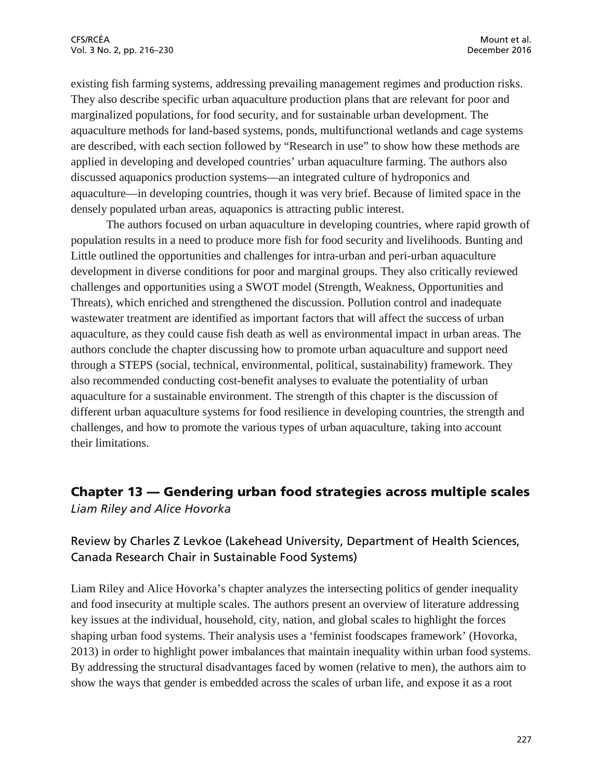existing fish farming systems, addressing prevailing management regimes and production risks. They also describe specific urban aquaculture production plans that are relevant for poor and marginalized populations, for food security, and for sustainable urban development. The aquaculture methods for land-based systems, ponds, multifunctional wetlands and cage systems are described, with each section followed by "Research in use" to show how these methods are applied in developing and developed countries' urban aquaculture farming. The authors also discussed aquaponics production systems—an integrated culture of hydroponics and aquaculture—in developing countries, though it was very brief. Because of limited space in the densely populated urban areas, aquaponics is attracting public interest.

The authors focused on urban aquaculture in developing countries, where rapid growth of population results in a need to produce more fish for food security and livelihoods. Bunting and Little outlined the opportunities and challenges for intra-urban and peri-urban aquaculture development in diverse conditions for poor and marginal groups. They also critically reviewed challenges and opportunities using a SWOT model (Strength, Weakness, Opportunities and Threats), which enriched and strengthened the discussion. Pollution control and inadequate wastewater treatment are identified as important factors that will affect the success of urban aquaculture, as they could cause fish death as well as environmental impact in urban areas. The authors conclude the chapter discussing how to promote urban aquaculture and support need through a STEPS (social, technical, environmental, political, sustainability) framework. They also recommended conducting cost-benefit analyses to evaluate the potentiality of urban aquaculture for a sustainable environment. The strength of this chapter is the discussion of different urban aquaculture systems for food resilience in developing countries, the strength and challenges, and how to promote the various types of urban aquaculture, taking into account their limitations.

## Chapter 13 — Gendering urban food strategies across multiple scales *Liam Riley and Alice Hovorka*

## Review by Charles Z Levkoe (Lakehead University, Department of Health Sciences, Canada Research Chair in Sustainable Food Systems)

Liam Riley and Alice Hovorka's chapter analyzes the intersecting politics of gender inequality and food insecurity at multiple scales. The authors present an overview of literature addressing key issues at the individual, household, city, nation, and global scales to highlight the forces shaping urban food systems. Their analysis uses a 'feminist foodscapes framework' (Hovorka, 2013) in order to highlight power imbalances that maintain inequality within urban food systems. By addressing the structural disadvantages faced by women (relative to men), the authors aim to show the ways that gender is embedded across the scales of urban life, and expose it as a root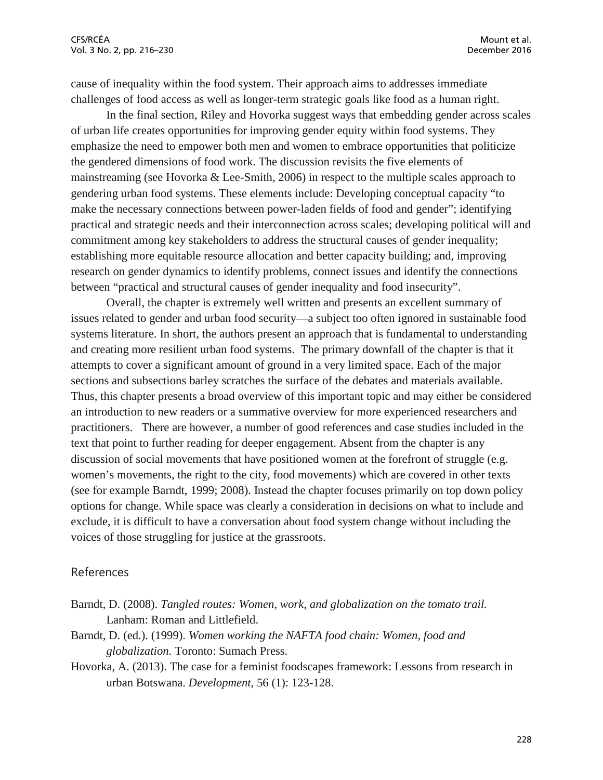cause of inequality within the food system. Their approach aims to addresses immediate challenges of food access as well as longer-term strategic goals like food as a human right.

In the final section, Riley and Hovorka suggest ways that embedding gender across scales of urban life creates opportunities for improving gender equity within food systems. They emphasize the need to empower both men and women to embrace opportunities that politicize the gendered dimensions of food work. The discussion revisits the five elements of mainstreaming (see Hovorka & Lee-Smith, 2006) in respect to the multiple scales approach to gendering urban food systems. These elements include: Developing conceptual capacity "to make the necessary connections between power-laden fields of food and gender"; identifying practical and strategic needs and their interconnection across scales; developing political will and commitment among key stakeholders to address the structural causes of gender inequality; establishing more equitable resource allocation and better capacity building; and, improving research on gender dynamics to identify problems, connect issues and identify the connections between "practical and structural causes of gender inequality and food insecurity".

Overall, the chapter is extremely well written and presents an excellent summary of issues related to gender and urban food security—a subject too often ignored in sustainable food systems literature. In short, the authors present an approach that is fundamental to understanding and creating more resilient urban food systems. The primary downfall of the chapter is that it attempts to cover a significant amount of ground in a very limited space. Each of the major sections and subsections barley scratches the surface of the debates and materials available. Thus, this chapter presents a broad overview of this important topic and may either be considered an introduction to new readers or a summative overview for more experienced researchers and practitioners. There are however, a number of good references and case studies included in the text that point to further reading for deeper engagement. Absent from the chapter is any discussion of social movements that have positioned women at the forefront of struggle (e.g. women's movements, the right to the city, food movements) which are covered in other texts (see for example Barndt, 1999; 2008). Instead the chapter focuses primarily on top down policy options for change. While space was clearly a consideration in decisions on what to include and exclude, it is difficult to have a conversation about food system change without including the voices of those struggling for justice at the grassroots.

#### References

- Barndt, D. (2008). *Tangled routes: Women, work, and globalization on the tomato trail.*  Lanham: Roman and Littlefield.
- Barndt, D. (ed.). (1999). *Women working the NAFTA food chain: Women, food and globalization.* Toronto: Sumach Press.
- Hovorka, A. (2013). The case for a feminist foodscapes framework: Lessons from research in urban Botswana. *Development*, 56 (1): 123-128.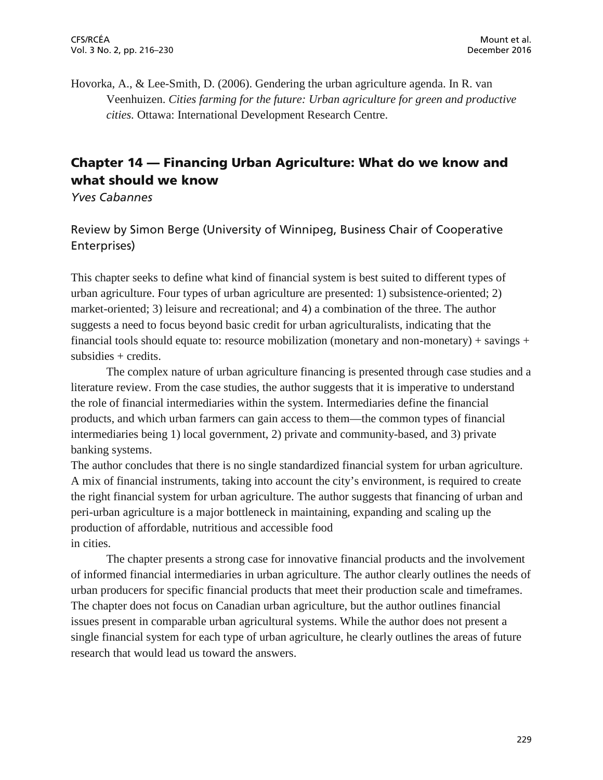Hovorka, A., & Lee-Smith, D. (2006). Gendering the urban agriculture agenda. In R. van Veenhuizen. *Cities farming for the future: Urban agriculture for green and productive cities.* Ottawa: International Development Research Centre.

## Chapter 14 — Financing Urban Agriculture: What do we know and what should we know

*Yves Cabannes*

Review by Simon Berge (University of Winnipeg, Business Chair of Cooperative Enterprises)

This chapter seeks to define what kind of financial system is best suited to different types of urban agriculture. Four types of urban agriculture are presented: 1) subsistence-oriented; 2) market-oriented; 3) leisure and recreational; and 4) a combination of the three. The author suggests a need to focus beyond basic credit for urban agriculturalists, indicating that the financial tools should equate to: resource mobilization (monetary and non-monetary) + savings + subsidies + credits.

The complex nature of urban agriculture financing is presented through case studies and a literature review. From the case studies, the author suggests that it is imperative to understand the role of financial intermediaries within the system. Intermediaries define the financial products, and which urban farmers can gain access to them—the common types of financial intermediaries being 1) local government, 2) private and community-based, and 3) private banking systems.

The author concludes that there is no single standardized financial system for urban agriculture. A mix of financial instruments, taking into account the city's environment, is required to create the right financial system for urban agriculture. The author suggests that financing of urban and peri-urban agriculture is a major bottleneck in maintaining, expanding and scaling up the production of affordable, nutritious and accessible food in cities.

The chapter presents a strong case for innovative financial products and the involvement of informed financial intermediaries in urban agriculture. The author clearly outlines the needs of urban producers for specific financial products that meet their production scale and timeframes. The chapter does not focus on Canadian urban agriculture, but the author outlines financial issues present in comparable urban agricultural systems. While the author does not present a single financial system for each type of urban agriculture, he clearly outlines the areas of future research that would lead us toward the answers.